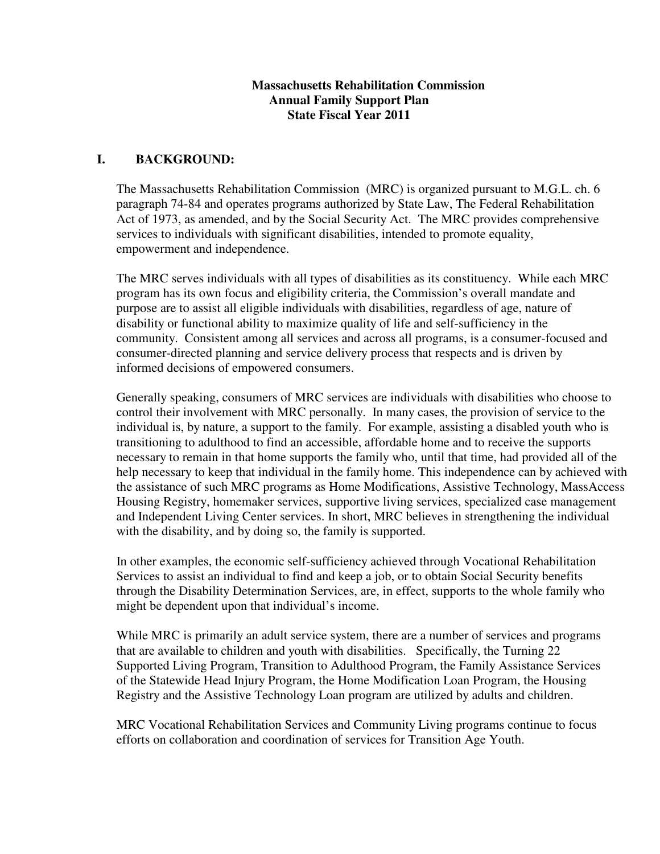#### **Massachusetts Rehabilitation Commission Annual Family Support Plan State Fiscal Year 2011**

#### **I. BACKGROUND:**

The Massachusetts Rehabilitation Commission (MRC) is organized pursuant to M.G.L. ch. 6 paragraph 74-84 and operates programs authorized by State Law, The Federal Rehabilitation Act of 1973, as amended, and by the Social Security Act. The MRC provides comprehensive services to individuals with significant disabilities, intended to promote equality, empowerment and independence.

The MRC serves individuals with all types of disabilities as its constituency. While each MRC program has its own focus and eligibility criteria, the Commission's overall mandate and purpose are to assist all eligible individuals with disabilities, regardless of age, nature of disability or functional ability to maximize quality of life and self-sufficiency in the community. Consistent among all services and across all programs, is a consumer-focused and consumer-directed planning and service delivery process that respects and is driven by informed decisions of empowered consumers.

Generally speaking, consumers of MRC services are individuals with disabilities who choose to control their involvement with MRC personally. In many cases, the provision of service to the individual is, by nature, a support to the family. For example, assisting a disabled youth who is transitioning to adulthood to find an accessible, affordable home and to receive the supports necessary to remain in that home supports the family who, until that time, had provided all of the help necessary to keep that individual in the family home. This independence can by achieved with the assistance of such MRC programs as Home Modifications, Assistive Technology, MassAccess Housing Registry, homemaker services, supportive living services, specialized case management and Independent Living Center services. In short, MRC believes in strengthening the individual with the disability, and by doing so, the family is supported.

In other examples, the economic self-sufficiency achieved through Vocational Rehabilitation Services to assist an individual to find and keep a job, or to obtain Social Security benefits through the Disability Determination Services, are, in effect, supports to the whole family who might be dependent upon that individual's income.

While MRC is primarily an adult service system, there are a number of services and programs that are available to children and youth with disabilities. Specifically, the Turning 22 Supported Living Program, Transition to Adulthood Program, the Family Assistance Services of the Statewide Head Injury Program, the Home Modification Loan Program, the Housing Registry and the Assistive Technology Loan program are utilized by adults and children.

MRC Vocational Rehabilitation Services and Community Living programs continue to focus efforts on collaboration and coordination of services for Transition Age Youth.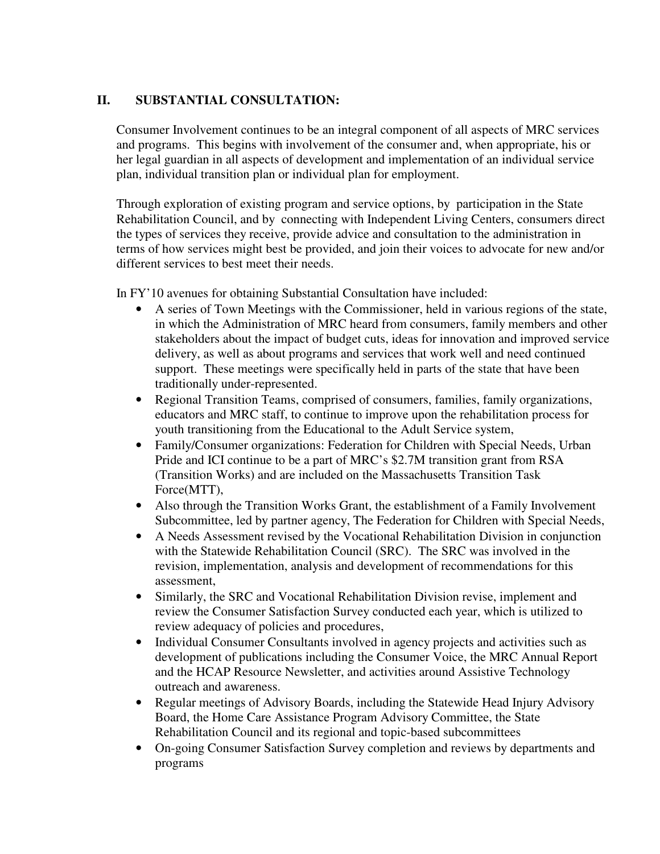### **II. SUBSTANTIAL CONSULTATION:**

Consumer Involvement continues to be an integral component of all aspects of MRC services and programs. This begins with involvement of the consumer and, when appropriate, his or her legal guardian in all aspects of development and implementation of an individual service plan, individual transition plan or individual plan for employment.

Through exploration of existing program and service options, by participation in the State Rehabilitation Council, and by connecting with Independent Living Centers, consumers direct the types of services they receive, provide advice and consultation to the administration in terms of how services might best be provided, and join their voices to advocate for new and/or different services to best meet their needs.

In FY'10 avenues for obtaining Substantial Consultation have included:

- A series of Town Meetings with the Commissioner, held in various regions of the state, in which the Administration of MRC heard from consumers, family members and other stakeholders about the impact of budget cuts, ideas for innovation and improved service delivery, as well as about programs and services that work well and need continued support. These meetings were specifically held in parts of the state that have been traditionally under-represented.
- Regional Transition Teams, comprised of consumers, families, family organizations, educators and MRC staff, to continue to improve upon the rehabilitation process for youth transitioning from the Educational to the Adult Service system,
- Family/Consumer organizations: Federation for Children with Special Needs, Urban Pride and ICI continue to be a part of MRC's \$2.7M transition grant from RSA (Transition Works) and are included on the Massachusetts Transition Task Force(MTT),
- Also through the Transition Works Grant, the establishment of a Family Involvement Subcommittee, led by partner agency, The Federation for Children with Special Needs,
- A Needs Assessment revised by the Vocational Rehabilitation Division in conjunction with the Statewide Rehabilitation Council (SRC). The SRC was involved in the revision, implementation, analysis and development of recommendations for this assessment,
- Similarly, the SRC and Vocational Rehabilitation Division revise, implement and review the Consumer Satisfaction Survey conducted each year, which is utilized to review adequacy of policies and procedures,
- Individual Consumer Consultants involved in agency projects and activities such as development of publications including the Consumer Voice, the MRC Annual Report and the HCAP Resource Newsletter, and activities around Assistive Technology outreach and awareness.
- Regular meetings of Advisory Boards, including the Statewide Head Injury Advisory Board, the Home Care Assistance Program Advisory Committee, the State Rehabilitation Council and its regional and topic-based subcommittees
- On-going Consumer Satisfaction Survey completion and reviews by departments and programs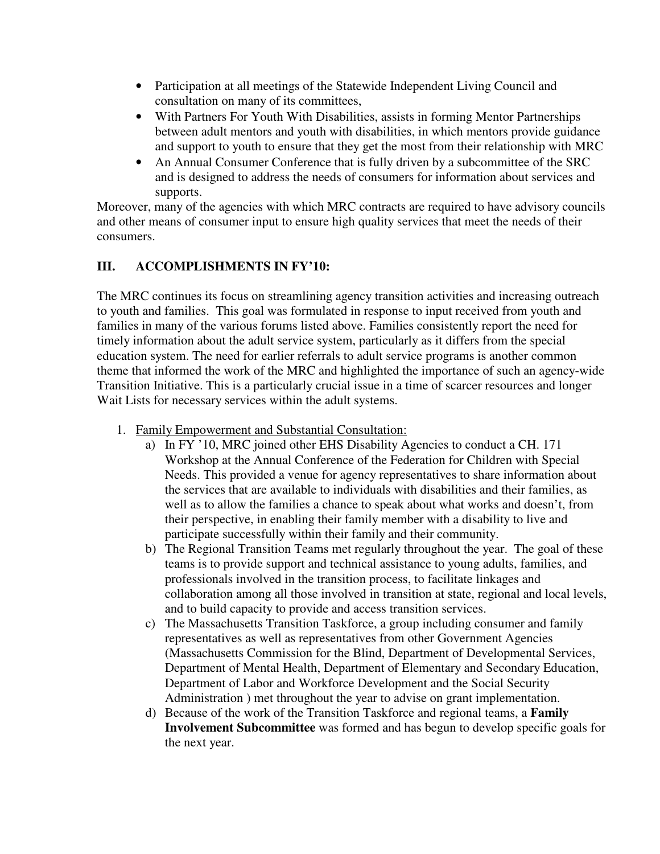- Participation at all meetings of the Statewide Independent Living Council and consultation on many of its committees,
- With Partners For Youth With Disabilities, assists in forming Mentor Partnerships between adult mentors and youth with disabilities, in which mentors provide guidance and support to youth to ensure that they get the most from their relationship with MRC
- An Annual Consumer Conference that is fully driven by a subcommittee of the SRC and is designed to address the needs of consumers for information about services and supports.

Moreover, many of the agencies with which MRC contracts are required to have advisory councils and other means of consumer input to ensure high quality services that meet the needs of their consumers.

# **III. ACCOMPLISHMENTS IN FY'10:**

The MRC continues its focus on streamlining agency transition activities and increasing outreach to youth and families. This goal was formulated in response to input received from youth and families in many of the various forums listed above. Families consistently report the need for timely information about the adult service system, particularly as it differs from the special education system. The need for earlier referrals to adult service programs is another common theme that informed the work of the MRC and highlighted the importance of such an agency-wide Transition Initiative. This is a particularly crucial issue in a time of scarcer resources and longer Wait Lists for necessary services within the adult systems.

- 1. Family Empowerment and Substantial Consultation:
	- a) In FY '10, MRC joined other EHS Disability Agencies to conduct a CH. 171 Workshop at the Annual Conference of the Federation for Children with Special Needs. This provided a venue for agency representatives to share information about the services that are available to individuals with disabilities and their families, as well as to allow the families a chance to speak about what works and doesn't, from their perspective, in enabling their family member with a disability to live and participate successfully within their family and their community.
	- b) The Regional Transition Teams met regularly throughout the year. The goal of these teams is to provide support and technical assistance to young adults, families, and professionals involved in the transition process, to facilitate linkages and collaboration among all those involved in transition at state, regional and local levels, and to build capacity to provide and access transition services.
	- c) The Massachusetts Transition Taskforce, a group including consumer and family representatives as well as representatives from other Government Agencies (Massachusetts Commission for the Blind, Department of Developmental Services, Department of Mental Health, Department of Elementary and Secondary Education, Department of Labor and Workforce Development and the Social Security Administration ) met throughout the year to advise on grant implementation.
	- d) Because of the work of the Transition Taskforce and regional teams, a **Family Involvement Subcommittee** was formed and has begun to develop specific goals for the next year.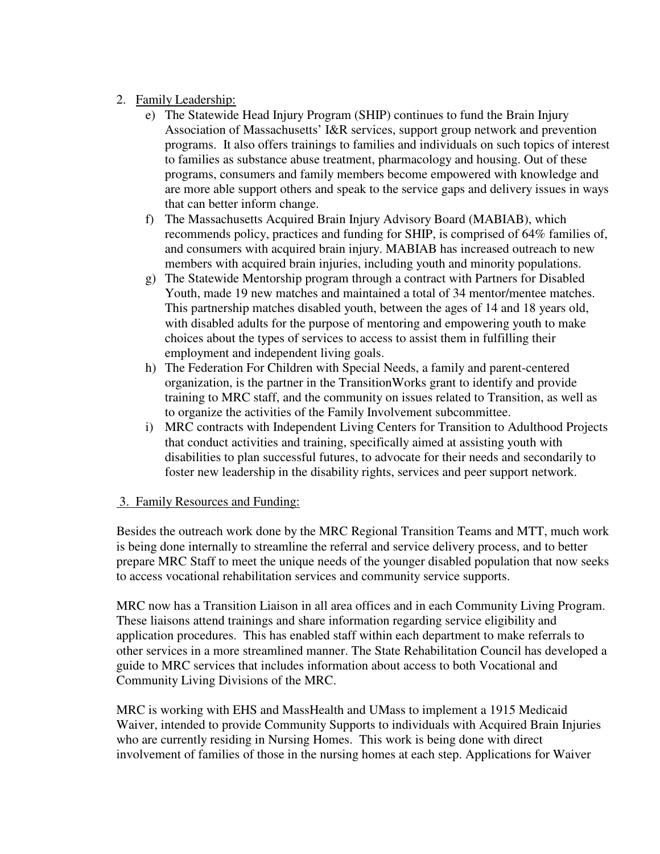- 2. Family Leadership:
	- e) The Statewide Head Injury Program (SHIP) continues to fund the Brain Injury Association of Massachusetts' I&R services, support group network and prevention programs. It also offers trainings to families and individuals on such topics of interest to families as substance abuse treatment, pharmacology and housing. Out of these programs, consumers and family members become empowered with knowledge and are more able support others and speak to the service gaps and delivery issues in ways that can better inform change.
	- f) The Massachusetts Acquired Brain Injury Advisory Board (MABIAB), which recommends policy, practices and funding for SHIP, is comprised of 64% families of, and consumers with acquired brain injury. MABIAB has increased outreach to new members with acquired brain injuries, including youth and minority populations.
	- g) The Statewide Mentorship program through a contract with Partners for Disabled Youth, made 19 new matches and maintained a total of 34 mentor/mentee matches. This partnership matches disabled youth, between the ages of 14 and 18 years old, with disabled adults for the purpose of mentoring and empowering youth to make choices about the types of services to access to assist them in fulfilling their employment and independent living goals.
	- h) The Federation For Children with Special Needs, a family and parent-centered organization, is the partner in the TransitionWorks grant to identify and provide training to MRC staff, and the community on issues related to Transition, as well as to organize the activities of the Family Involvement subcommittee.
	- i) MRC contracts with Independent Living Centers for Transition to Adulthood Projects that conduct activities and training, specifically aimed at assisting youth with disabilities to plan successful futures, to advocate for their needs and secondarily to foster new leadership in the disability rights, services and peer support network.

#### 3. Family Resources and Funding:

Besides the outreach work done by the MRC Regional Transition Teams and MTT, much work is being done internally to streamline the referral and service delivery process, and to better prepare MRC Staff to meet the unique needs of the younger disabled population that now seeks to access vocational rehabilitation services and community service supports.

MRC now has a Transition Liaison in all area offices and in each Community Living Program. These liaisons attend trainings and share information regarding service eligibility and application procedures. This has enabled staff within each department to make referrals to other services in a more streamlined manner. The State Rehabilitation Council has developed a guide to MRC services that includes information about access to both Vocational and Community Living Divisions of the MRC.

MRC is working with EHS and MassHealth and UMass to implement a 1915 Medicaid Waiver, intended to provide Community Supports to individuals with Acquired Brain Injuries who are currently residing in Nursing Homes. This work is being done with direct involvement of families of those in the nursing homes at each step. Applications for Waiver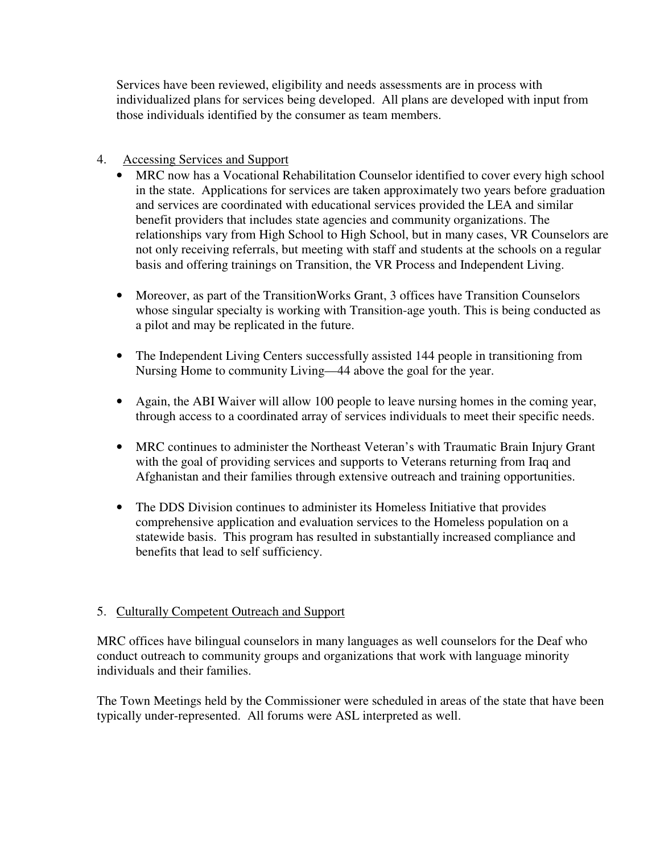Services have been reviewed, eligibility and needs assessments are in process with individualized plans for services being developed. All plans are developed with input from those individuals identified by the consumer as team members.

## 4. Accessing Services and Support

- MRC now has a Vocational Rehabilitation Counselor identified to cover every high school in the state. Applications for services are taken approximately two years before graduation and services are coordinated with educational services provided the LEA and similar benefit providers that includes state agencies and community organizations. The relationships vary from High School to High School, but in many cases, VR Counselors are not only receiving referrals, but meeting with staff and students at the schools on a regular basis and offering trainings on Transition, the VR Process and Independent Living.
- Moreover, as part of the TransitionWorks Grant, 3 offices have Transition Counselors whose singular specialty is working with Transition-age youth. This is being conducted as a pilot and may be replicated in the future.
- The Independent Living Centers successfully assisted 144 people in transitioning from Nursing Home to community Living—44 above the goal for the year.
- Again, the ABI Waiver will allow 100 people to leave nursing homes in the coming year, through access to a coordinated array of services individuals to meet their specific needs.
- MRC continues to administer the Northeast Veteran's with Traumatic Brain Injury Grant with the goal of providing services and supports to Veterans returning from Iraq and Afghanistan and their families through extensive outreach and training opportunities.
- The DDS Division continues to administer its Homeless Initiative that provides comprehensive application and evaluation services to the Homeless population on a statewide basis. This program has resulted in substantially increased compliance and benefits that lead to self sufficiency.

# 5. Culturally Competent Outreach and Support

MRC offices have bilingual counselors in many languages as well counselors for the Deaf who conduct outreach to community groups and organizations that work with language minority individuals and their families.

The Town Meetings held by the Commissioner were scheduled in areas of the state that have been typically under-represented. All forums were ASL interpreted as well.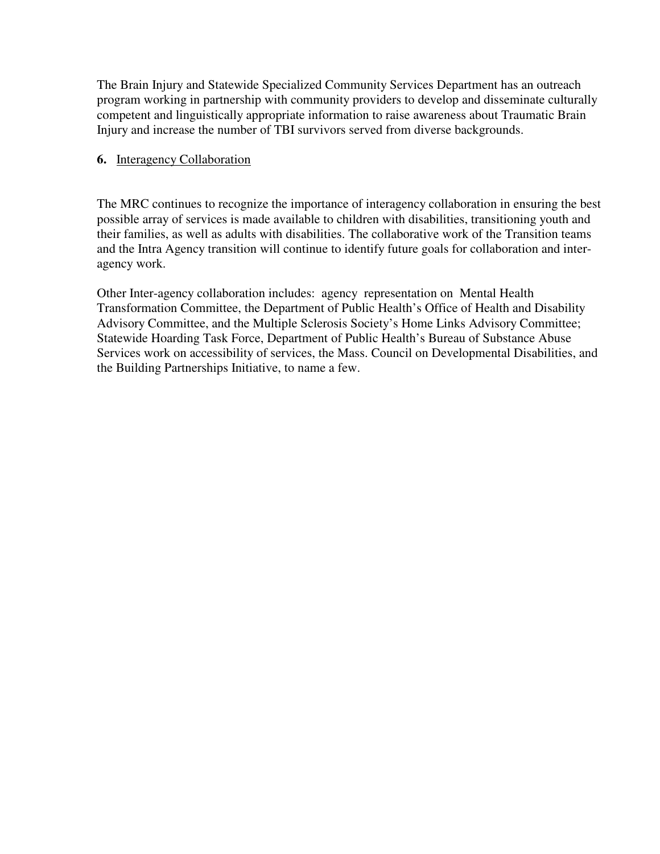The Brain Injury and Statewide Specialized Community Services Department has an outreach program working in partnership with community providers to develop and disseminate culturally competent and linguistically appropriate information to raise awareness about Traumatic Brain Injury and increase the number of TBI survivors served from diverse backgrounds.

#### **6.** Interagency Collaboration

The MRC continues to recognize the importance of interagency collaboration in ensuring the best possible array of services is made available to children with disabilities, transitioning youth and their families, as well as adults with disabilities. The collaborative work of the Transition teams and the Intra Agency transition will continue to identify future goals for collaboration and interagency work.

Other Inter-agency collaboration includes: agency representation on Mental Health Transformation Committee, the Department of Public Health's Office of Health and Disability Advisory Committee, and the Multiple Sclerosis Society's Home Links Advisory Committee; Statewide Hoarding Task Force, Department of Public Health's Bureau of Substance Abuse Services work on accessibility of services, the Mass. Council on Developmental Disabilities, and the Building Partnerships Initiative, to name a few.